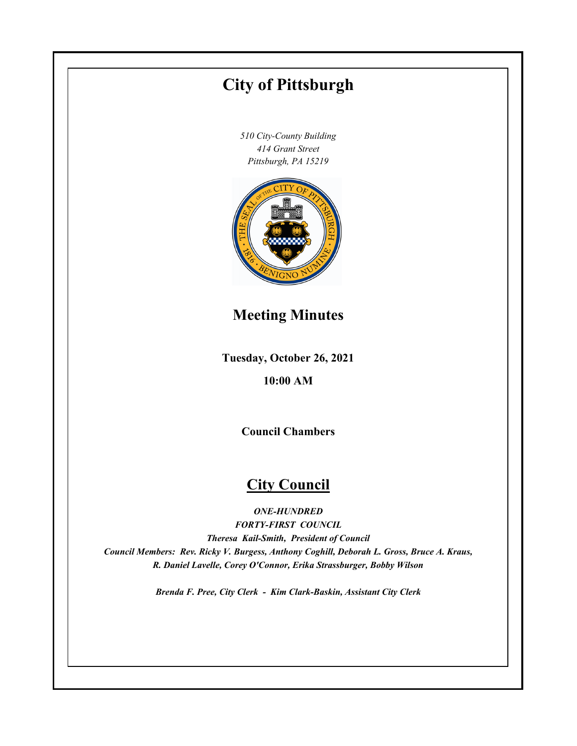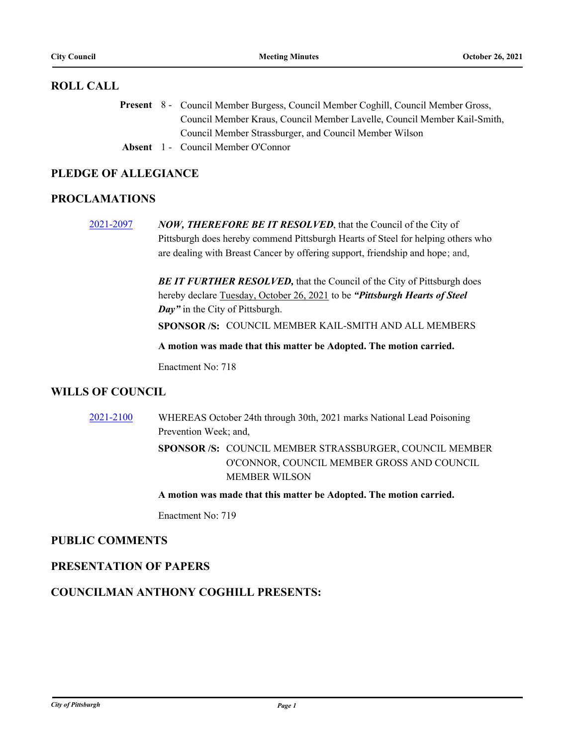# **ROLL CALL**

Present 8 - Council Member Burgess, Council Member Coghill, Council Member Gross, Council Member Kraus, Council Member Lavelle, Council Member Kail-Smith, Council Member Strassburger, and Council Member Wilson

**Absent** 1 - Council Member O'Connor

# **PLEDGE OF ALLEGIANCE**

# **PROCLAMATIONS**

[2021-2097](http://pittsburgh.legistar.com/gateway.aspx?m=l&id=/matter.aspx?key=26980) *NOW, THEREFORE BE IT RESOLVED*, that the Council of the City of Pittsburgh does hereby commend Pittsburgh Hearts of Steel for helping others who are dealing with Breast Cancer by offering support, friendship and hope; and,

> **BE IT FURTHER RESOLVED, that the Council of the City of Pittsburgh does** hereby declare Tuesday, October 26, 2021 to be *"Pittsburgh Hearts of Steel Day"* in the City of Pittsburgh.

**SPONSOR /S:** COUNCIL MEMBER KAIL-SMITH AND ALL MEMBERS

**A motion was made that this matter be Adopted. The motion carried.**

Enactment No: 718

# **WILLS OF COUNCIL**

[2021-2100](http://pittsburgh.legistar.com/gateway.aspx?m=l&id=/matter.aspx?key=26984) WHEREAS October 24th through 30th, 2021 marks National Lead Poisoning Prevention Week; and, SPONSOR /S: COUNCIL MEMBER STRASSBURGER, COUNCIL MEMBER O'CONNOR, COUNCIL MEMBER GROSS AND COUNCIL MEMBER WILSON

**A motion was made that this matter be Adopted. The motion carried.**

Enactment No: 719

# **PUBLIC COMMENTS**

# **PRESENTATION OF PAPERS**

# **COUNCILMAN ANTHONY COGHILL PRESENTS:**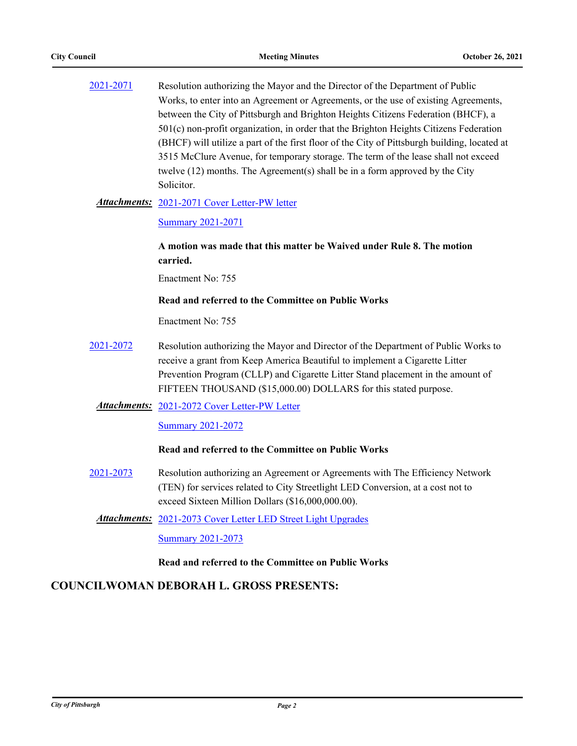| 2021-2071 | Resolution authorizing the Mayor and the Director of the Department of Public                |
|-----------|----------------------------------------------------------------------------------------------|
|           | Works, to enter into an Agreement or Agreements, or the use of existing Agreements,          |
|           | between the City of Pittsburgh and Brighton Heights Citizens Federation (BHCF), a            |
|           | $501(c)$ non-profit organization, in order that the Brighton Heights Citizens Federation     |
|           | (BHCF) will utilize a part of the first floor of the City of Pittsburgh building, located at |
|           | 3515 McClure Avenue, for temporary storage. The term of the lease shall not exceed           |
|           | twelve $(12)$ months. The Agreement(s) shall be in a form approved by the City               |
|           | Solicitor.                                                                                   |

### Attachments: [2021-2071 Cover Letter-PW letter](http://pittsburgh.legistar.com/gateway.aspx?M=F&ID=5493656a-fc38-4eaf-82f3-7e021c6bfbbc.PDF)

#### [Summary 2021-2071](http://pittsburgh.legistar.com/gateway.aspx?M=F&ID=cf831a97-f099-4482-87c7-4f61f0642bcb.docx)

# **A motion was made that this matter be Waived under Rule 8. The motion carried.**

Enactment No: 755

## **Read and referred to the Committee on Public Works**

Enactment No: 755

[2021-2072](http://pittsburgh.legistar.com/gateway.aspx?m=l&id=/matter.aspx?key=26955) Resolution authorizing the Mayor and Director of the Department of Public Works to receive a grant from Keep America Beautiful to implement a Cigarette Litter Prevention Program (CLLP) and Cigarette Litter Stand placement in the amount of FIFTEEN THOUSAND (\$15,000.00) DOLLARS for this stated purpose.

### Attachments: [2021-2072 Cover Letter-PW Letter](http://pittsburgh.legistar.com/gateway.aspx?M=F&ID=6c2feacc-b9f0-4f88-8f99-0b1a7e3fe84e.PDF)

#### [Summary 2021-2072](http://pittsburgh.legistar.com/gateway.aspx?M=F&ID=c45c3248-7786-4844-8caa-d9a7b2b5081a.docx)

#### **Read and referred to the Committee on Public Works**

- [2021-2073](http://pittsburgh.legistar.com/gateway.aspx?m=l&id=/matter.aspx?key=26956) Resolution authorizing an Agreement or Agreements with The Efficiency Network (TEN) for services related to City Streetlight LED Conversion, at a cost not to exceed Sixteen Million Dollars (\$16,000,000.00).
	- [2021-2073 Cover Letter LED Street Light Upgrades](http://pittsburgh.legistar.com/gateway.aspx?M=F&ID=3d387571-42a3-4d19-939a-72ee58ac6a48.pdf) *Attachments:* [Summary 2021-2073](http://pittsburgh.legistar.com/gateway.aspx?M=F&ID=9b57a60d-6c9b-45a0-abea-9c659557c525.docx)

## **Read and referred to the Committee on Public Works**

# **COUNCILWOMAN DEBORAH L. GROSS PRESENTS:**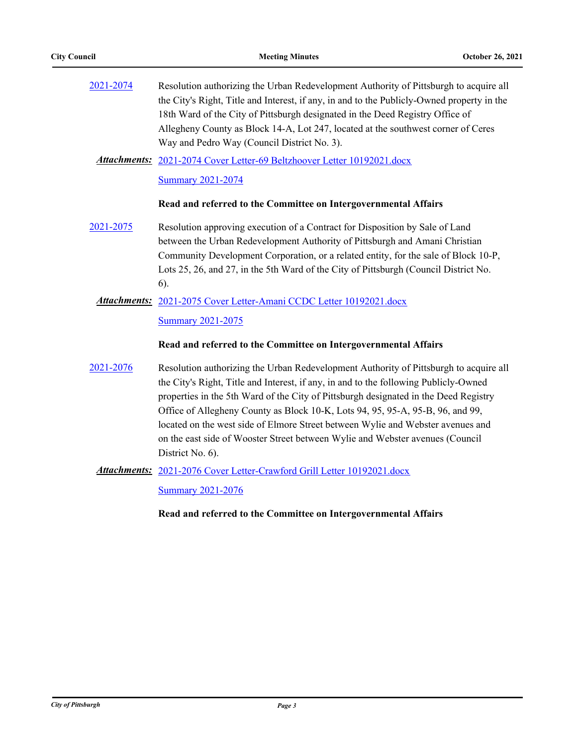| 2021-2074           | Resolution authorizing the Urban Redevelopment Authority of Pittsburgh to acquire all<br>the City's Right, Title and Interest, if any, in and to the Publicly-Owned property in the<br>18th Ward of the City of Pittsburgh designated in the Deed Registry Office of<br>Allegheny County as Block 14-A, Lot 247, located at the southwest corner of Ceres<br>Way and Pedro Way (Council District No. 3).                                                                                                                    |
|---------------------|-----------------------------------------------------------------------------------------------------------------------------------------------------------------------------------------------------------------------------------------------------------------------------------------------------------------------------------------------------------------------------------------------------------------------------------------------------------------------------------------------------------------------------|
| <b>Attachments:</b> | 2021-2074 Cover Letter-69 Beltzhoover Letter 10192021.docx                                                                                                                                                                                                                                                                                                                                                                                                                                                                  |
|                     | <b>Summary 2021-2074</b>                                                                                                                                                                                                                                                                                                                                                                                                                                                                                                    |
|                     | Read and referred to the Committee on Intergovernmental Affairs                                                                                                                                                                                                                                                                                                                                                                                                                                                             |
| 2021-2075           | Resolution approving execution of a Contract for Disposition by Sale of Land                                                                                                                                                                                                                                                                                                                                                                                                                                                |
|                     | between the Urban Redevelopment Authority of Pittsburgh and Amani Christian                                                                                                                                                                                                                                                                                                                                                                                                                                                 |
|                     | Community Development Corporation, or a related entity, for the sale of Block 10-P,                                                                                                                                                                                                                                                                                                                                                                                                                                         |
|                     | Lots 25, 26, and 27, in the 5th Ward of the City of Pittsburgh (Council District No.                                                                                                                                                                                                                                                                                                                                                                                                                                        |
|                     | $6$ ).                                                                                                                                                                                                                                                                                                                                                                                                                                                                                                                      |
| <b>Attachments:</b> | 2021-2075 Cover Letter-Amani CCDC Letter 10192021.docx                                                                                                                                                                                                                                                                                                                                                                                                                                                                      |
|                     | <b>Summary 2021-2075</b>                                                                                                                                                                                                                                                                                                                                                                                                                                                                                                    |
|                     | Read and referred to the Committee on Intergovernmental Affairs                                                                                                                                                                                                                                                                                                                                                                                                                                                             |
| 2021-2076           | Resolution authorizing the Urban Redevelopment Authority of Pittsburgh to acquire all<br>the City's Right, Title and Interest, if any, in and to the following Publicly-Owned<br>properties in the 5th Ward of the City of Pittsburgh designated in the Deed Registry<br>Office of Allegheny County as Block 10-K, Lots 94, 95, 95-A, 95-B, 96, and 99,<br>located on the west side of Elmore Street between Wylie and Webster avenues and<br>on the east side of Wooster Street between Wylie and Webster avenues (Council |
|                     | District No. 6).                                                                                                                                                                                                                                                                                                                                                                                                                                                                                                            |
|                     | <b>Attachments:</b> 2021-2076 Cover Letter-Crawford Grill Letter 10192021.docx                                                                                                                                                                                                                                                                                                                                                                                                                                              |
|                     |                                                                                                                                                                                                                                                                                                                                                                                                                                                                                                                             |

[Summary 2021-2076](http://pittsburgh.legistar.com/gateway.aspx?M=F&ID=a5c5f4fc-bfec-4e1e-9cc7-a1a93b04dcb4.docx)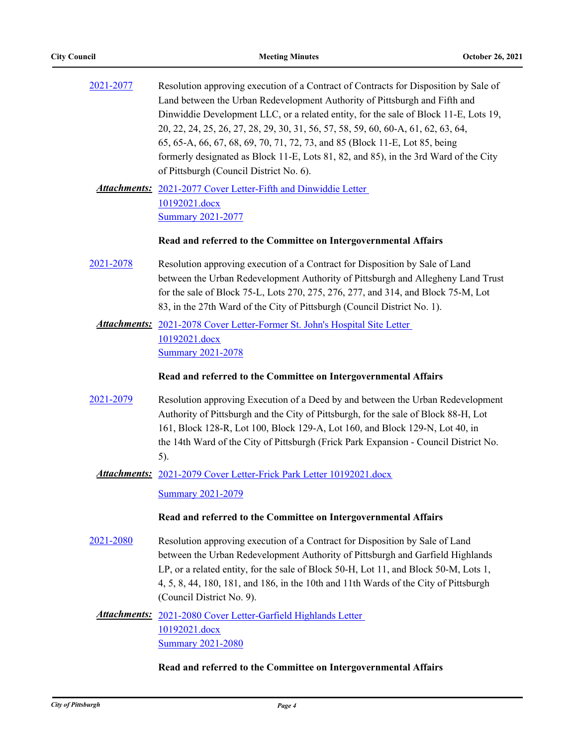| 2021-2077    | Resolution approving execution of a Contract of Contracts for Disposition by Sale of<br>Land between the Urban Redevelopment Authority of Pittsburgh and Fifth and<br>Dinwiddie Development LLC, or a related entity, for the sale of Block 11-E, Lots 19,<br>20, 22, 24, 25, 26, 27, 28, 29, 30, 31, 56, 57, 58, 59, 60, 60-A, 61, 62, 63, 64,<br>65, 65-A, 66, 67, 68, 69, 70, 71, 72, 73, and 85 (Block 11-E, Lot 85, being<br>formerly designated as Block 11-E, Lots 81, 82, and 85), in the 3rd Ward of the City<br>of Pittsburgh (Council District No. 6). |
|--------------|-------------------------------------------------------------------------------------------------------------------------------------------------------------------------------------------------------------------------------------------------------------------------------------------------------------------------------------------------------------------------------------------------------------------------------------------------------------------------------------------------------------------------------------------------------------------|
|              | <b>Attachments:</b> 2021-2077 Cover Letter-Fifth and Dinwiddie Letter<br>10192021.docx<br><b>Summary 2021-2077</b>                                                                                                                                                                                                                                                                                                                                                                                                                                                |
|              | Read and referred to the Committee on Intergovernmental Affairs                                                                                                                                                                                                                                                                                                                                                                                                                                                                                                   |
| 2021-2078    | Resolution approving execution of a Contract for Disposition by Sale of Land<br>between the Urban Redevelopment Authority of Pittsburgh and Allegheny Land Trust<br>for the sale of Block 75-L, Lots 270, 275, 276, 277, and 314, and Block 75-M, Lot<br>83, in the 27th Ward of the City of Pittsburgh (Council District No. 1).                                                                                                                                                                                                                                 |
|              | Attachments: 2021-2078 Cover Letter-Former St. John's Hospital Site Letter                                                                                                                                                                                                                                                                                                                                                                                                                                                                                        |
|              | 10192021.docx<br><b>Summary 2021-2078</b>                                                                                                                                                                                                                                                                                                                                                                                                                                                                                                                         |
|              | Read and referred to the Committee on Intergovernmental Affairs                                                                                                                                                                                                                                                                                                                                                                                                                                                                                                   |
| 2021-2079    | Resolution approving Execution of a Deed by and between the Urban Redevelopment<br>Authority of Pittsburgh and the City of Pittsburgh, for the sale of Block 88-H, Lot<br>161, Block 128-R, Lot 100, Block 129-A, Lot 160, and Block 129-N, Lot 40, in<br>the 14th Ward of the City of Pittsburgh (Frick Park Expansion - Council District No.<br>5).                                                                                                                                                                                                             |
| Attachments: | 2021-2079 Cover Letter-Frick Park Letter 10192021.docx                                                                                                                                                                                                                                                                                                                                                                                                                                                                                                            |
|              | <b>Summary 2021-2079</b>                                                                                                                                                                                                                                                                                                                                                                                                                                                                                                                                          |
|              | Read and referred to the Committee on Intergovernmental Affairs                                                                                                                                                                                                                                                                                                                                                                                                                                                                                                   |
| 2021-2080    | Resolution approving execution of a Contract for Disposition by Sale of Land<br>between the Urban Redevelopment Authority of Pittsburgh and Garfield Highlands<br>LP, or a related entity, for the sale of Block 50-H, Lot 11, and Block 50-M, Lots 1,<br>4, 5, 8, 44, 180, 181, and 186, in the 10th and 11th Wards of the City of Pittsburgh<br>(Council District No. 9).                                                                                                                                                                                       |
|              | Attachments: 2021-2080 Cover Letter-Garfield Highlands Letter<br>10192021.docx<br><b>Summary 2021-2080</b>                                                                                                                                                                                                                                                                                                                                                                                                                                                        |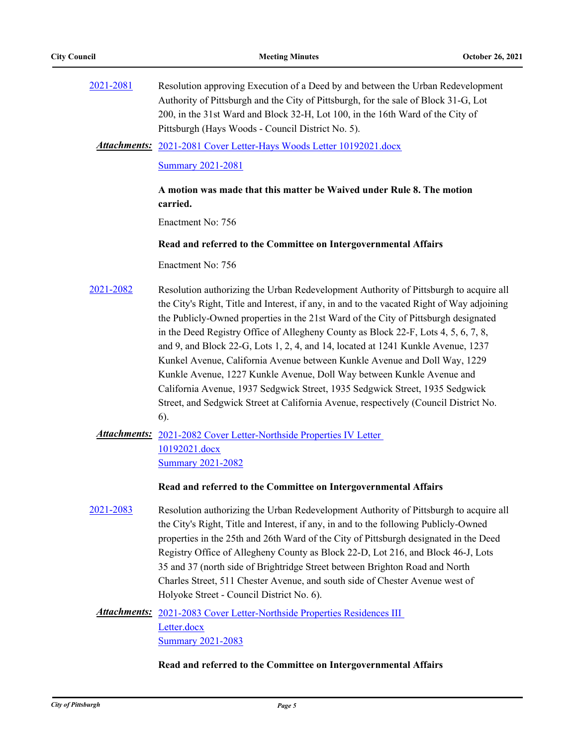| 2021-2081 | Resolution approving Execution of a Deed by and between the Urban Redevelopment<br>Authority of Pittsburgh and the City of Pittsburgh, for the sale of Block 31-G, Lot<br>200, in the 31st Ward and Block 32-H, Lot 100, in the 16th Ward of the City of<br>Pittsburgh (Hays Woods - Council District No. 5).                                                                                                                                                                                                                                                                                                                                                                                                                                                                                |
|-----------|----------------------------------------------------------------------------------------------------------------------------------------------------------------------------------------------------------------------------------------------------------------------------------------------------------------------------------------------------------------------------------------------------------------------------------------------------------------------------------------------------------------------------------------------------------------------------------------------------------------------------------------------------------------------------------------------------------------------------------------------------------------------------------------------|
|           | <b>Attachments:</b> 2021-2081 Cover Letter-Hays Woods Letter 10192021.docx                                                                                                                                                                                                                                                                                                                                                                                                                                                                                                                                                                                                                                                                                                                   |
|           | <b>Summary 2021-2081</b>                                                                                                                                                                                                                                                                                                                                                                                                                                                                                                                                                                                                                                                                                                                                                                     |
|           | A motion was made that this matter be Waived under Rule 8. The motion<br>carried.                                                                                                                                                                                                                                                                                                                                                                                                                                                                                                                                                                                                                                                                                                            |
|           | Enactment No: 756                                                                                                                                                                                                                                                                                                                                                                                                                                                                                                                                                                                                                                                                                                                                                                            |
|           | Read and referred to the Committee on Intergovernmental Affairs                                                                                                                                                                                                                                                                                                                                                                                                                                                                                                                                                                                                                                                                                                                              |
|           | Enactment No: 756                                                                                                                                                                                                                                                                                                                                                                                                                                                                                                                                                                                                                                                                                                                                                                            |
| 2021-2082 | Resolution authorizing the Urban Redevelopment Authority of Pittsburgh to acquire all<br>the City's Right, Title and Interest, if any, in and to the vacated Right of Way adjoining<br>the Publicly-Owned properties in the 21st Ward of the City of Pittsburgh designated<br>in the Deed Registry Office of Allegheny County as Block 22-F, Lots 4, 5, 6, 7, 8,<br>and 9, and Block 22-G, Lots 1, 2, 4, and 14, located at 1241 Kunkle Avenue, 1237<br>Kunkel Avenue, California Avenue between Kunkle Avenue and Doll Way, 1229<br>Kunkle Avenue, 1227 Kunkle Avenue, Doll Way between Kunkle Avenue and<br>California Avenue, 1937 Sedgwick Street, 1935 Sedgwick Street, 1935 Sedgwick<br>Street, and Sedgwick Street at California Avenue, respectively (Council District No.<br>$6$ ). |
|           | Attachments: 2021-2082 Cover Letter-Northside Properties IV Letter<br>10192021.docx<br><b>Summary 2021-2082</b>                                                                                                                                                                                                                                                                                                                                                                                                                                                                                                                                                                                                                                                                              |
|           | Read and referred to the Committee on Intergovernmental Affairs                                                                                                                                                                                                                                                                                                                                                                                                                                                                                                                                                                                                                                                                                                                              |
| 2021-2083 | Resolution authorizing the Urban Redevelopment Authority of Pittsburgh to acquire all<br>the City's Right, Title and Interest, if any, in and to the following Publicly-Owned<br>properties in the 25th and 26th Ward of the City of Pittsburgh designated in the Deed<br>Registry Office of Allegheny County as Block 22-D, Lot 216, and Block 46-J, Lots<br>35 and 37 (north side of Brightridge Street between Brighton Road and North<br>Charles Street, 511 Chester Avenue, and south side of Chester Avenue west of<br>Holyoke Street - Council District No. 6).                                                                                                                                                                                                                       |
|           | Attachments: 2021-2083 Cover Letter-Northside Properties Residences III                                                                                                                                                                                                                                                                                                                                                                                                                                                                                                                                                                                                                                                                                                                      |
|           | Letter.docx<br><b>Summary 2021-2083</b>                                                                                                                                                                                                                                                                                                                                                                                                                                                                                                                                                                                                                                                                                                                                                      |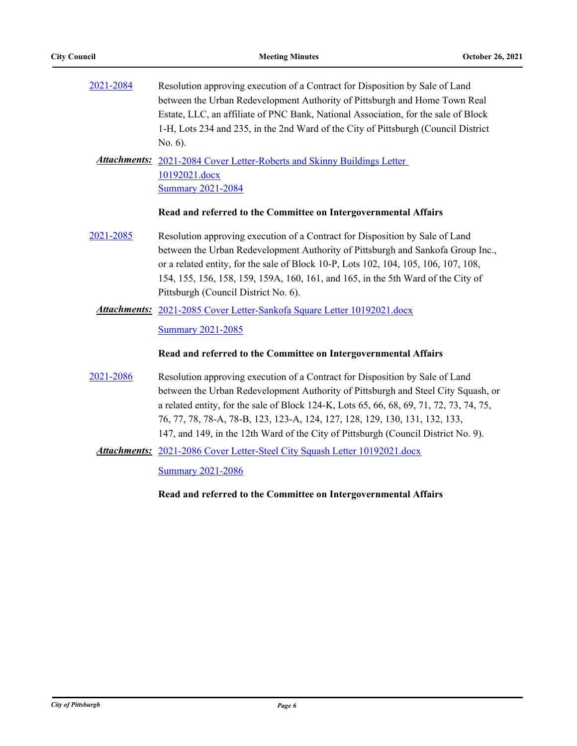| 2021-2084 | Resolution approving execution of a Contract for Disposition by Sale of Land<br>between the Urban Redevelopment Authority of Pittsburgh and Home Town Real<br>Estate, LLC, an affiliate of PNC Bank, National Association, for the sale of Block<br>1-H, Lots 234 and 235, in the 2nd Ward of the City of Pittsburgh (Council District<br>No. $6$ ).                                                                              |
|-----------|-----------------------------------------------------------------------------------------------------------------------------------------------------------------------------------------------------------------------------------------------------------------------------------------------------------------------------------------------------------------------------------------------------------------------------------|
|           | <b>Attachments:</b> 2021-2084 Cover Letter-Roberts and Skinny Buildings Letter<br>10192021.docx<br><b>Summary 2021-2084</b>                                                                                                                                                                                                                                                                                                       |
|           | Read and referred to the Committee on Intergovernmental Affairs                                                                                                                                                                                                                                                                                                                                                                   |
| 2021-2085 | Resolution approving execution of a Contract for Disposition by Sale of Land<br>between the Urban Redevelopment Authority of Pittsburgh and Sankofa Group Inc.,<br>or a related entity, for the sale of Block 10-P, Lots 102, 104, 105, 106, 107, 108,<br>154, 155, 156, 158, 159, 159A, 160, 161, and 165, in the 5th Ward of the City of<br>Pittsburgh (Council District No. 6).                                                |
|           | <b>Attachments:</b> 2021-2085 Cover Letter-Sankofa Square Letter 10192021.docx                                                                                                                                                                                                                                                                                                                                                    |
|           | <b>Summary 2021-2085</b>                                                                                                                                                                                                                                                                                                                                                                                                          |
|           | Read and referred to the Committee on Intergovernmental Affairs                                                                                                                                                                                                                                                                                                                                                                   |
| 2021-2086 | Resolution approving execution of a Contract for Disposition by Sale of Land<br>between the Urban Redevelopment Authority of Pittsburgh and Steel City Squash, or<br>a related entity, for the sale of Block 124-K, Lots 65, 66, 68, 69, 71, 72, 73, 74, 75,<br>76, 77, 78, 78-A, 78-B, 123, 123-A, 124, 127, 128, 129, 130, 131, 132, 133,<br>147, and 149, in the 12th Ward of the City of Pittsburgh (Council District No. 9). |
|           | Attachments: 2021-2086 Cover Letter-Steel City Squash Letter 10192021.docx                                                                                                                                                                                                                                                                                                                                                        |
|           | <b>Summary 2021-2086</b>                                                                                                                                                                                                                                                                                                                                                                                                          |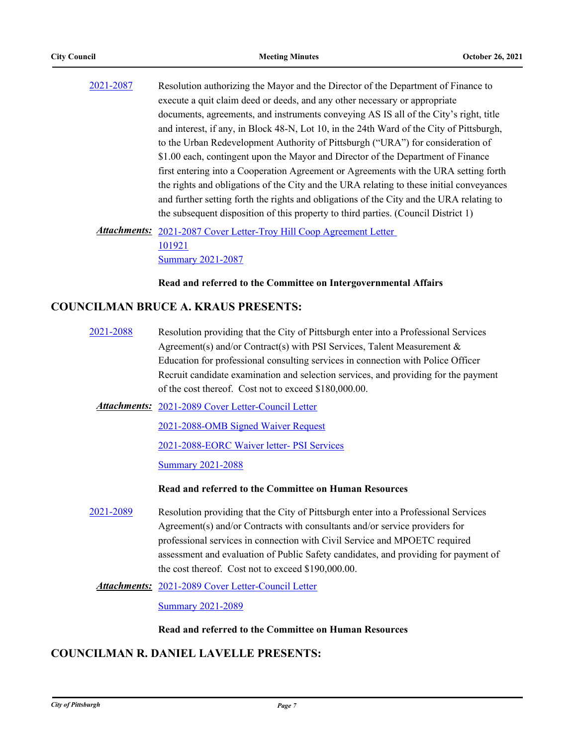[2021-2087](http://pittsburgh.legistar.com/gateway.aspx?m=l&id=/matter.aspx?key=26970) Resolution authorizing the Mayor and the Director of the Department of Finance to execute a quit claim deed or deeds, and any other necessary or appropriate documents, agreements, and instruments conveying AS IS all of the City's right, title and interest, if any, in Block 48-N, Lot 10, in the 24th Ward of the City of Pittsburgh, to the Urban Redevelopment Authority of Pittsburgh ("URA") for consideration of \$1.00 each, contingent upon the Mayor and Director of the Department of Finance first entering into a Cooperation Agreement or Agreements with the URA setting forth the rights and obligations of the City and the URA relating to these initial conveyances and further setting forth the rights and obligations of the City and the URA relating to the subsequent disposition of this property to third parties. (Council District 1)

Attachments: 2021-2087 Cover Letter-Troy Hill Coop Agreement Letter 101921 [Summary 2021-2087](http://pittsburgh.legistar.com/gateway.aspx?M=F&ID=06626e9f-1eb0-4224-a275-6056ee38df72.docx)

#### **Read and referred to the Committee on Intergovernmental Affairs**

## **COUNCILMAN BRUCE A. KRAUS PRESENTS:**

[2021-2088](http://pittsburgh.legistar.com/gateway.aspx?m=l&id=/matter.aspx?key=26971) Resolution providing that the City of Pittsburgh enter into a Professional Services Agreement(s) and/or Contract(s) with PSI Services, Talent Measurement & Education for professional consulting services in connection with Police Officer Recruit candidate examination and selection services, and providing for the payment of the cost thereof. Cost not to exceed \$180,000.00.

Attachments: [2021-2089 Cover Letter-Council Letter](http://pittsburgh.legistar.com/gateway.aspx?M=F&ID=8b5cbb7b-09b7-4df7-b720-4e62959e76c8.docx)

[2021-2088-OMB Signed Waiver Request](http://pittsburgh.legistar.com/gateway.aspx?M=F&ID=a71c8b18-2301-4d25-b5e7-c0e39a6e6015.pdf)

[2021-2088-EORC Waiver letter- PSI Services](http://pittsburgh.legistar.com/gateway.aspx?M=F&ID=0cf13821-f51e-47c9-ba73-fbefa4c010cc.pdf)

[Summary 2021-2088](http://pittsburgh.legistar.com/gateway.aspx?M=F&ID=5bd5fccb-0e0f-4eae-87b2-86dac083e08a.docx)

### **Read and referred to the Committee on Human Resources**

[2021-2089](http://pittsburgh.legistar.com/gateway.aspx?m=l&id=/matter.aspx?key=26972) Resolution providing that the City of Pittsburgh enter into a Professional Services Agreement(s) and/or Contracts with consultants and/or service providers for professional services in connection with Civil Service and MPOETC required assessment and evaluation of Public Safety candidates, and providing for payment of the cost thereof. Cost not to exceed \$190,000.00.

[2021-2089 Cover Letter-Council Letter](http://pittsburgh.legistar.com/gateway.aspx?M=F&ID=d07087cd-d705-4634-8c70-93f3c71dbd8b.docx) *Attachments:*

[Summary 2021-2089](http://pittsburgh.legistar.com/gateway.aspx?M=F&ID=8ca3d412-0881-46d2-9b61-5b90a368301f.docx)

#### **Read and referred to the Committee on Human Resources**

# **COUNCILMAN R. DANIEL LAVELLE PRESENTS:**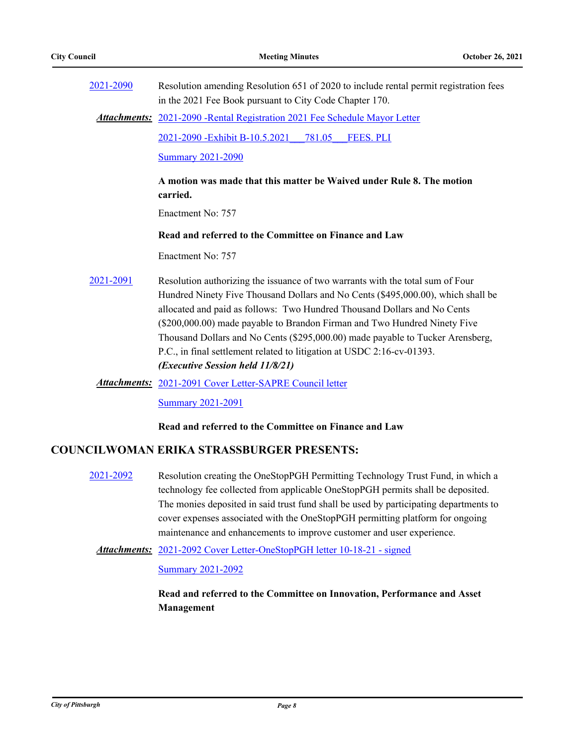| 2021-2090 | Resolution amending Resolution 651 of 2020 to include rental permit registration fees<br>in the 2021 Fee Book pursuant to City Code Chapter 170.                                                                                                                                                                                                                                                                                                                                                                            |
|-----------|-----------------------------------------------------------------------------------------------------------------------------------------------------------------------------------------------------------------------------------------------------------------------------------------------------------------------------------------------------------------------------------------------------------------------------------------------------------------------------------------------------------------------------|
|           | <b>Attachments:</b> 2021-2090 - Rental Registration 2021 Fee Schedule Mayor Letter                                                                                                                                                                                                                                                                                                                                                                                                                                          |
|           | 2021-2090 - Exhibit B-10.5.2021<br>781.05<br><b>FEES. PLI</b>                                                                                                                                                                                                                                                                                                                                                                                                                                                               |
|           | <b>Summary 2021-2090</b>                                                                                                                                                                                                                                                                                                                                                                                                                                                                                                    |
|           | A motion was made that this matter be Waived under Rule 8. The motion<br>carried.                                                                                                                                                                                                                                                                                                                                                                                                                                           |
|           | Enactment No: 757                                                                                                                                                                                                                                                                                                                                                                                                                                                                                                           |
|           | Read and referred to the Committee on Finance and Law                                                                                                                                                                                                                                                                                                                                                                                                                                                                       |
|           | Enactment No: 757                                                                                                                                                                                                                                                                                                                                                                                                                                                                                                           |
| 2021-2091 | Resolution authorizing the issuance of two warrants with the total sum of Four<br>Hundred Ninety Five Thousand Dollars and No Cents (\$495,000.00), which shall be<br>allocated and paid as follows: Two Hundred Thousand Dollars and No Cents<br>(\$200,000.00) made payable to Brandon Firman and Two Hundred Ninety Five<br>Thousand Dollars and No Cents (\$295,000.00) made payable to Tucker Arensberg,<br>P.C., in final settlement related to litigation at USDC 2:16-cv-01393.<br>(Executive Session held 11/8/21) |
|           | <b>Attachments:</b> 2021-2091 Cover Letter-SAPRE Council letter                                                                                                                                                                                                                                                                                                                                                                                                                                                             |

**[Summary 2021-2091](http://pittsburgh.legistar.com/gateway.aspx?M=F&ID=2107813c-c18d-4324-a7a0-69af61c0ec8f.docx)** 

### **Read and referred to the Committee on Finance and Law**

# **COUNCILWOMAN ERIKA STRASSBURGER PRESENTS:**

- [2021-2092](http://pittsburgh.legistar.com/gateway.aspx?m=l&id=/matter.aspx?key=26975) Resolution creating the OneStopPGH Permitting Technology Trust Fund, in which a technology fee collected from applicable OneStopPGH permits shall be deposited. The monies deposited in said trust fund shall be used by participating departments to cover expenses associated with the OneStopPGH permitting platform for ongoing maintenance and enhancements to improve customer and user experience.
- Attachments: [2021-2092 Cover Letter-OneStopPGH letter 10-18-21 signed](http://pittsburgh.legistar.com/gateway.aspx?M=F&ID=44e91a49-cea8-43b9-b360-1bf8861c3004.pdf)

### [Summary 2021-2092](http://pittsburgh.legistar.com/gateway.aspx?M=F&ID=03819974-15f0-42db-9d4b-05e219a89c52.docx)

**Read and referred to the Committee on Innovation, Performance and Asset Management**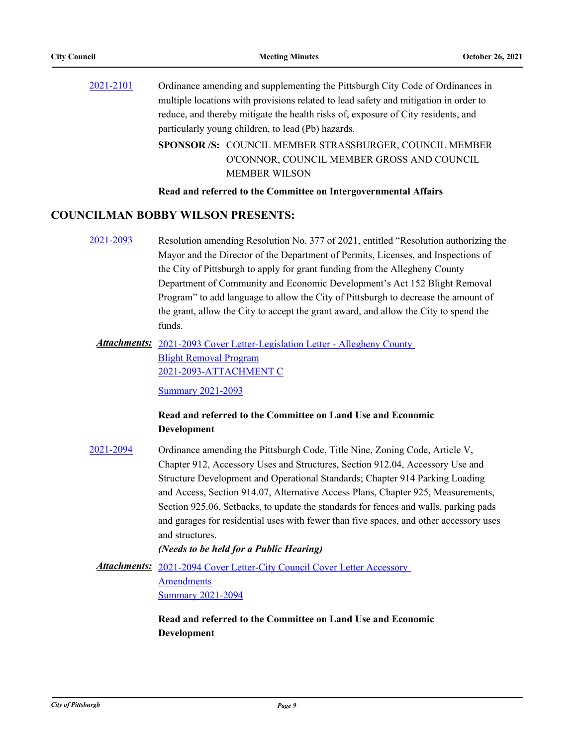[2021-2101](http://pittsburgh.legistar.com/gateway.aspx?m=l&id=/matter.aspx?key=26985) Ordinance amending and supplementing the Pittsburgh City Code of Ordinances in multiple locations with provisions related to lead safety and mitigation in order to reduce, and thereby mitigate the health risks of, exposure of City residents, and particularly young children, to lead (Pb) hazards. SPONSOR /S: COUNCIL MEMBER STRASSBURGER, COUNCIL MEMBER O'CONNOR, COUNCIL MEMBER GROSS AND COUNCIL

MEMBER WILSON

**Read and referred to the Committee on Intergovernmental Affairs**

## **COUNCILMAN BOBBY WILSON PRESENTS:**

- [2021-2093](http://pittsburgh.legistar.com/gateway.aspx?m=l&id=/matter.aspx?key=26976) Resolution amending Resolution No. 377 of 2021, entitled "Resolution authorizing the Mayor and the Director of the Department of Permits, Licenses, and Inspections of the City of Pittsburgh to apply for grant funding from the Allegheny County Department of Community and Economic Development's Act 152 Blight Removal Program" to add language to allow the City of Pittsburgh to decrease the amount of the grant, allow the City to accept the grant award, and allow the City to spend the funds.
	- Attachments: 2021-2093 Cover Letter-Legislation Letter Allegheny County Blight Removal Program [2021-2093-ATTACHMENT C](http://pittsburgh.legistar.com/gateway.aspx?M=F&ID=7a81dcd4-26ed-46f3-8002-268b7d50f601.docx)

[Summary 2021-2093](http://pittsburgh.legistar.com/gateway.aspx?M=F&ID=94518976-afb7-48b8-af74-17cf8a0dad3e.docx)

# **Read and referred to the Committee on Land Use and Economic Development**

[2021-2094](http://pittsburgh.legistar.com/gateway.aspx?m=l&id=/matter.aspx?key=26977) Ordinance amending the Pittsburgh Code, Title Nine, Zoning Code, Article V, Chapter 912, Accessory Uses and Structures, Section 912.04, Accessory Use and Structure Development and Operational Standards; Chapter 914 Parking Loading and Access, Section 914.07, Alternative Access Plans, Chapter 925, Measurements, Section 925.06, Setbacks, to update the standards for fences and walls, parking pads and garages for residential uses with fewer than five spaces, and other accessory uses and structures.

*(Needs to be held for a Public Hearing)*

Attachments: 2021-2094 Cover Letter-City Council Cover Letter Accessory **Amendments** 

[Summary 2021-2094](http://pittsburgh.legistar.com/gateway.aspx?M=F&ID=84b02038-7a62-4faf-8ab4-663c53d488f6.docx)

# **Read and referred to the Committee on Land Use and Economic Development**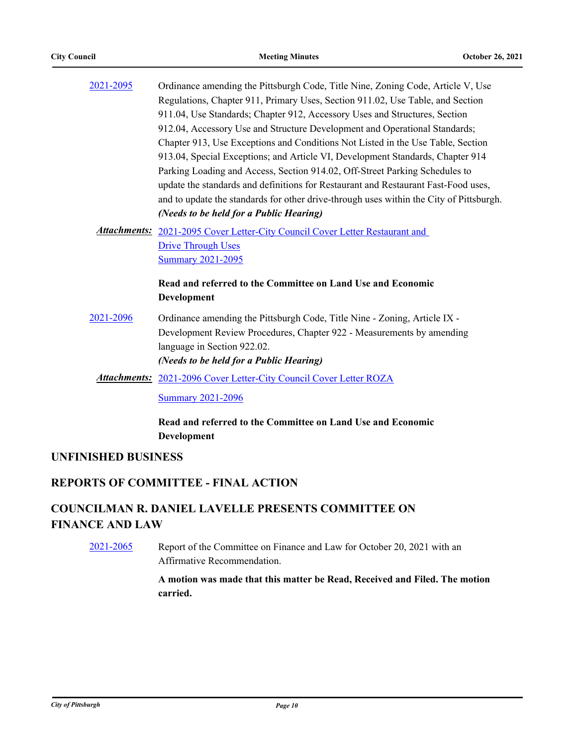| 2021-2095 | Ordinance amending the Pittsburgh Code, Title Nine, Zoning Code, Article V, Use         |
|-----------|-----------------------------------------------------------------------------------------|
|           | Regulations, Chapter 911, Primary Uses, Section 911.02, Use Table, and Section          |
|           | 911.04, Use Standards; Chapter 912, Accessory Uses and Structures, Section              |
|           | 912.04, Accessory Use and Structure Development and Operational Standards;              |
|           | Chapter 913, Use Exceptions and Conditions Not Listed in the Use Table, Section         |
|           | 913.04, Special Exceptions; and Article VI, Development Standards, Chapter 914          |
|           | Parking Loading and Access, Section 914.02, Off-Street Parking Schedules to             |
|           | update the standards and definitions for Restaurant and Restaurant Fast-Food uses,      |
|           | and to update the standards for other drive-through uses within the City of Pittsburgh. |
|           | (Needs to be held for a Public Hearing)                                                 |
|           | Attachments: 2021-2095 Cover Letter-City Council Cover Letter Restaurant and            |
|           | <b>Drive Through Uses</b>                                                               |
|           | <b>Summary 2021-2095</b>                                                                |
|           | Read and referred to the Committee on Land Use and Economic                             |
|           | Development                                                                             |
| 2021-2096 | Ordinance amending the Pittsburgh Code, Title Nine - Zoning, Article IX -               |
|           | Development Review Procedures, Chapter 922 - Measurements by amending                   |
|           | language in Section 922.02.                                                             |
|           | (Needs to be held for a Public Hearing)                                                 |
|           | <b>Attachments:</b> 2021-2096 Cover Letter-City Council Cover Letter ROZA               |
|           | <b>Summary 2021-2096</b>                                                                |
|           |                                                                                         |

**Read and referred to the Committee on Land Use and Economic Development**

# **UNFINISHED BUSINESS**

# **REPORTS OF COMMITTEE - FINAL ACTION**

# **COUNCILMAN R. DANIEL LAVELLE PRESENTS COMMITTEE ON FINANCE AND LAW**

[2021-2065](http://pittsburgh.legistar.com/gateway.aspx?m=l&id=/matter.aspx?key=26943) Report of the Committee on Finance and Law for October 20, 2021 with an Affirmative Recommendation.

> **A motion was made that this matter be Read, Received and Filed. The motion carried.**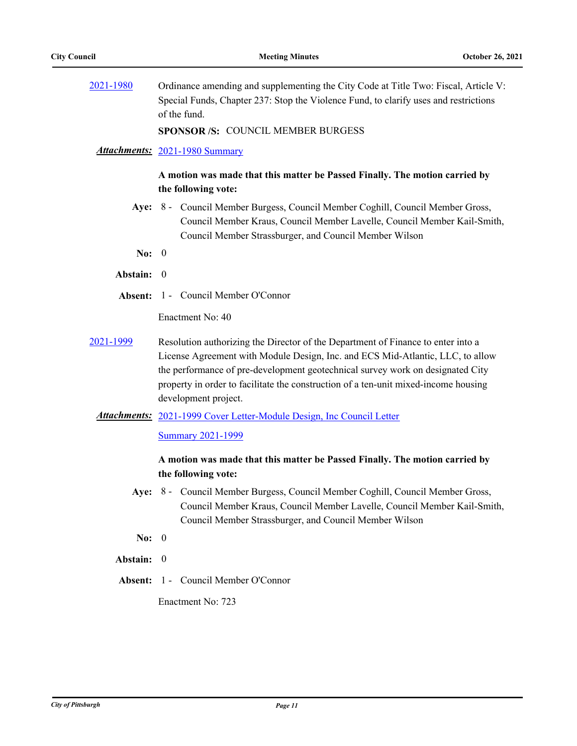[2021-1980](http://pittsburgh.legistar.com/gateway.aspx?m=l&id=/matter.aspx?key=26853) Ordinance amending and supplementing the City Code at Title Two: Fiscal, Article V: Special Funds, Chapter 237: Stop the Violence Fund, to clarify uses and restrictions of the fund.

**SPONSOR /S:** COUNCIL MEMBER BURGESS

### *Attachments:* [2021-1980 Summary](http://pittsburgh.legistar.com/gateway.aspx?M=F&ID=2a4189d4-3bea-4a1f-9ce0-cfc1112d3b0d.docx)

## **A motion was made that this matter be Passed Finally. The motion carried by the following vote:**

- Aye: 8 Council Member Burgess, Council Member Coghill, Council Member Gross, Council Member Kraus, Council Member Lavelle, Council Member Kail-Smith, Council Member Strassburger, and Council Member Wilson
- **No:** 0
- **Abstain:** 0
- **Absent:** 1 Council Member O'Connor

Enactment No: 40

[2021-1999](http://pittsburgh.legistar.com/gateway.aspx?m=l&id=/matter.aspx?key=26875) Resolution authorizing the Director of the Department of Finance to enter into a License Agreement with Module Design, Inc. and ECS Mid-Atlantic, LLC, to allow the performance of pre-development geotechnical survey work on designated City property in order to facilitate the construction of a ten-unit mixed-income housing development project.

### Attachments: [2021-1999 Cover Letter-Module Design, Inc Council Letter](http://pittsburgh.legistar.com/gateway.aspx?M=F&ID=bf168d74-b905-4292-a760-fd3b5f63057c.pdf)

#### [Summary 2021-1999](http://pittsburgh.legistar.com/gateway.aspx?M=F&ID=ebb8f882-197a-4e02-975f-b0e74c03af0e.docx)

# **A motion was made that this matter be Passed Finally. The motion carried by the following vote:**

- Aye: 8 Council Member Burgess, Council Member Coghill, Council Member Gross, Council Member Kraus, Council Member Lavelle, Council Member Kail-Smith, Council Member Strassburger, and Council Member Wilson
- **No:** 0
- **Abstain:** 0
- **Absent:** 1 Council Member O'Connor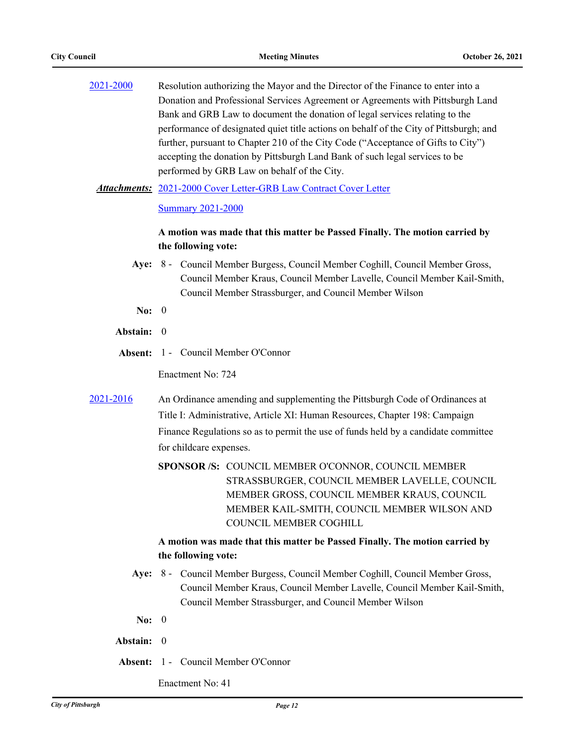| 2021-2000 | Resolution authorizing the Mayor and the Director of the Finance to enter into a       |
|-----------|----------------------------------------------------------------------------------------|
|           | Donation and Professional Services Agreement or Agreements with Pittsburgh Land        |
|           | Bank and GRB Law to document the donation of legal services relating to the            |
|           | performance of designated quiet title actions on behalf of the City of Pittsburgh; and |
|           | further, pursuant to Chapter 210 of the City Code ("Acceptance of Gifts to City")      |
|           | accepting the donation by Pittsburgh Land Bank of such legal services to be            |
|           | performed by GRB Law on behalf of the City.                                            |
|           |                                                                                        |

Attachments: [2021-2000 Cover Letter-GRB Law Contract Cover Letter](http://pittsburgh.legistar.com/gateway.aspx?M=F&ID=68ff4d84-ac3f-4aef-984e-2695a7d8b057.pdf)

[Summary 2021-2000](http://pittsburgh.legistar.com/gateway.aspx?M=F&ID=c10ea6af-ae70-4022-9542-d251b6648d35.docx)

# **A motion was made that this matter be Passed Finally. The motion carried by the following vote:**

- Aye: 8 Council Member Burgess, Council Member Coghill, Council Member Gross, Council Member Kraus, Council Member Lavelle, Council Member Kail-Smith, Council Member Strassburger, and Council Member Wilson
- **No:** 0
- **Abstain:** 0
- **Absent:** 1 Council Member O'Connor

Enactment No: 724

- [2021-2016](http://pittsburgh.legistar.com/gateway.aspx?m=l&id=/matter.aspx?key=26892) An Ordinance amending and supplementing the Pittsburgh Code of Ordinances at Title I: Administrative, Article XI: Human Resources, Chapter 198: Campaign Finance Regulations so as to permit the use of funds held by a candidate committee for childcare expenses.
	- SPONSOR /S: COUNCIL MEMBER O'CONNOR, COUNCIL MEMBER STRASSBURGER, COUNCIL MEMBER LAVELLE, COUNCIL MEMBER GROSS, COUNCIL MEMBER KRAUS, COUNCIL MEMBER KAIL-SMITH, COUNCIL MEMBER WILSON AND COUNCIL MEMBER COGHILL

# **A motion was made that this matter be Passed Finally. The motion carried by the following vote:**

- Aye: 8 Council Member Burgess, Council Member Coghill, Council Member Gross, Council Member Kraus, Council Member Lavelle, Council Member Kail-Smith, Council Member Strassburger, and Council Member Wilson
- **No:** 0
- **Abstain:** 0
- **Absent:** 1 Council Member O'Connor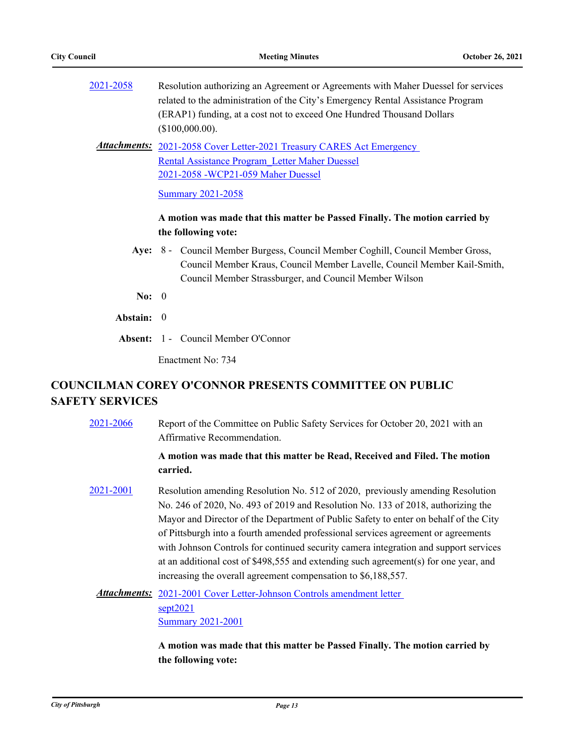| 2021-2058 | Resolution authorizing an Agreement or Agreements with Maher Duessel for services |
|-----------|-----------------------------------------------------------------------------------|
|           | related to the administration of the City's Emergency Rental Assistance Program   |
|           | (ERAP1) funding, at a cost not to exceed One Hundred Thousand Dollars             |
|           | $($100,000.00)$ .                                                                 |
|           | <b>Attachments:</b> 2021-2058 Cover Letter-2021 Treasury CARES Act Emergency      |
|           | Rental Assistance Program Letter Maher Duessel                                    |
|           | 2021-2058 - WCP21-059 Maher Duessel                                               |
|           | <b>Summary 2021-2058</b>                                                          |
|           | A motion was made that this matter be Passed Finally. The motion carried by       |
|           | the following vote:                                                               |
|           |                                                                                   |

- Aye: 8 Council Member Burgess, Council Member Coghill, Council Member Gross, Council Member Kraus, Council Member Lavelle, Council Member Kail-Smith, Council Member Strassburger, and Council Member Wilson
- **No:** 0
- **Abstain:** 0
- **Absent:** 1 Council Member O'Connor

Enactment No: 734

# **COUNCILMAN COREY O'CONNOR PRESENTS COMMITTEE ON PUBLIC SAFETY SERVICES**

[2021-2066](http://pittsburgh.legistar.com/gateway.aspx?m=l&id=/matter.aspx?key=26944) Report of the Committee on Public Safety Services for October 20, 2021 with an Affirmative Recommendation. **A motion was made that this matter be Read, Received and Filed. The motion carried.** [2021-2001](http://pittsburgh.legistar.com/gateway.aspx?m=l&id=/matter.aspx?key=26877) Resolution amending Resolution No. 512 of 2020, previously amending Resolution No. 246 of 2020, No. 493 of 2019 and Resolution No. 133 of 2018, authorizing the Mayor and Director of the Department of Public Safety to enter on behalf of the City of Pittsburgh into a fourth amended professional services agreement or agreements with Johnson Controls for continued security camera integration and support services at an additional cost of \$498,555 and extending such agreement(s) for one year, and increasing the overall agreement compensation to \$6,188,557. Attachments: 2021-2001 Cover Letter-Johnson Controls amendment letter sept2021 **[Summary 2021-2001](http://pittsburgh.legistar.com/gateway.aspx?M=F&ID=0123fb13-7eba-4be2-8b21-4f3a83127969.docx)** 

> **A motion was made that this matter be Passed Finally. The motion carried by the following vote:**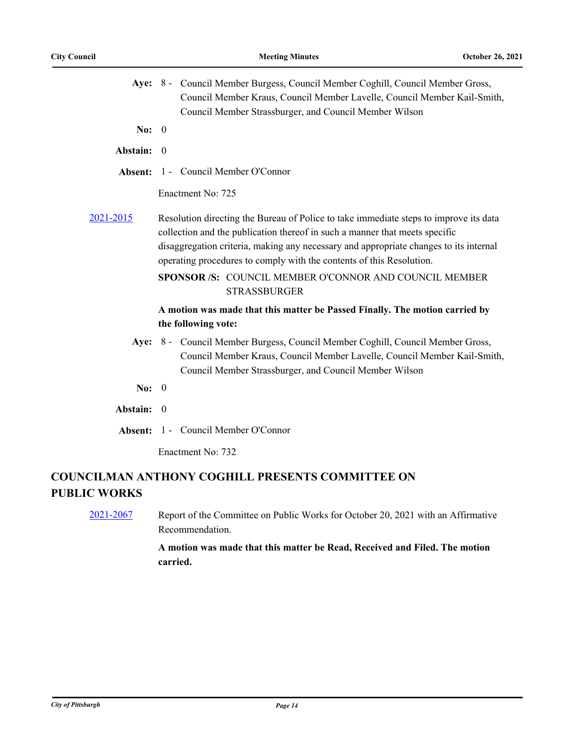|                     | Aye: 8 - Council Member Burgess, Council Member Coghill, Council Member Gross,<br>Council Member Kraus, Council Member Lavelle, Council Member Kail-Smith,                                                                                                                                                                            |
|---------------------|---------------------------------------------------------------------------------------------------------------------------------------------------------------------------------------------------------------------------------------------------------------------------------------------------------------------------------------|
|                     | Council Member Strassburger, and Council Member Wilson                                                                                                                                                                                                                                                                                |
| No: $0$             |                                                                                                                                                                                                                                                                                                                                       |
| Abstain: 0          |                                                                                                                                                                                                                                                                                                                                       |
|                     | <b>Absent:</b> 1 - Council Member O'Connor                                                                                                                                                                                                                                                                                            |
|                     | Enactment No: 725                                                                                                                                                                                                                                                                                                                     |
| 2021-2015           | Resolution directing the Bureau of Police to take immediate steps to improve its data<br>collection and the publication thereof in such a manner that meets specific<br>disaggregation criteria, making any necessary and appropriate changes to its internal<br>operating procedures to comply with the contents of this Resolution. |
|                     | SPONSOR /S: COUNCIL MEMBER O'CONNOR AND COUNCIL MEMBER<br><b>STRASSBURGER</b>                                                                                                                                                                                                                                                         |
|                     | A motion was made that this matter be Passed Finally. The motion carried by                                                                                                                                                                                                                                                           |
|                     | the following vote:                                                                                                                                                                                                                                                                                                                   |
|                     | Aye: 8 - Council Member Burgess, Council Member Coghill, Council Member Gross,<br>Council Member Kraus, Council Member Lavelle, Council Member Kail-Smith,<br>Council Member Strassburger, and Council Member Wilson                                                                                                                  |
| No: $0$             |                                                                                                                                                                                                                                                                                                                                       |
| Abstain: 0          |                                                                                                                                                                                                                                                                                                                                       |
|                     | Absent: 1 - Council Member O'Connor                                                                                                                                                                                                                                                                                                   |
|                     | Enactment No: 732                                                                                                                                                                                                                                                                                                                     |
| <b>PUBLIC WORKS</b> | <b>COUNCILMAN ANTHONY COGHILL PRESENTS COMMITTEE ON</b>                                                                                                                                                                                                                                                                               |
|                     |                                                                                                                                                                                                                                                                                                                                       |

[2021-2067](http://pittsburgh.legistar.com/gateway.aspx?m=l&id=/matter.aspx?key=26945) Report of the Committee on Public Works for October 20, 2021 with an Affirmative Recommendation.

> **A motion was made that this matter be Read, Received and Filed. The motion carried.**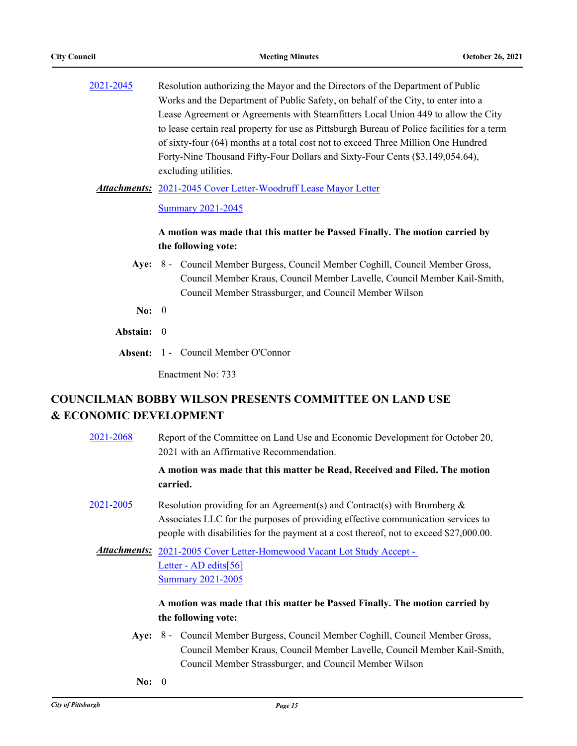| 2021-2045 | Resolution authorizing the Mayor and the Directors of the Department of Public              |
|-----------|---------------------------------------------------------------------------------------------|
|           | Works and the Department of Public Safety, on behalf of the City, to enter into a           |
|           | Lease Agreement or Agreements with Steamfitters Local Union 449 to allow the City           |
|           | to lease certain real property for use as Pittsburgh Bureau of Police facilities for a term |
|           | of sixty-four (64) months at a total cost not to exceed Three Million One Hundred           |
|           | Forty-Nine Thousand Fifty-Four Dollars and Sixty-Four Cents (\$3,149,054.64),               |
|           | excluding utilities.                                                                        |
|           |                                                                                             |

Attachments: [2021-2045 Cover Letter-Woodruff Lease Mayor Letter](http://pittsburgh.legistar.com/gateway.aspx?M=F&ID=d9175179-902e-4f24-9e6b-a40d7868801b.docx)

**[Summary 2021-2045](http://pittsburgh.legistar.com/gateway.aspx?M=F&ID=038b8046-00c0-4a17-bf9c-9fb3cf104509.docx)** 

# **A motion was made that this matter be Passed Finally. The motion carried by the following vote:**

- Aye: 8 Council Member Burgess, Council Member Coghill, Council Member Gross, Council Member Kraus, Council Member Lavelle, Council Member Kail-Smith, Council Member Strassburger, and Council Member Wilson
- **No:** 0
- **Abstain:** 0
- **Absent:** 1 Council Member O'Connor

Enactment No: 733

# **COUNCILMAN BOBBY WILSON PRESENTS COMMITTEE ON LAND USE & ECONOMIC DEVELOPMENT**

| 2021-2068 | Report of the Committee on Land Use and Economic Development for October 20,<br>2021 with an Affirmative Recommendation.                                                                                                                                                                                               |
|-----------|------------------------------------------------------------------------------------------------------------------------------------------------------------------------------------------------------------------------------------------------------------------------------------------------------------------------|
|           | A motion was made that this matter be Read, Received and Filed. The motion<br>carried.                                                                                                                                                                                                                                 |
| 2021-2005 | Resolution providing for an Agreement(s) and Contract(s) with Bromberg $\&$<br>Associates LLC for the purposes of providing effective communication services to<br>people with disabilities for the payment at a cost thereof, not to exceed \$27,000.00.                                                              |
|           | Attachments: 2021-2005 Cover Letter-Homewood Vacant Lot Study Accept -<br>Letter - AD edits[56]<br><b>Summary 2021-2005</b>                                                                                                                                                                                            |
|           | A motion was made that this matter be Passed Finally. The motion carried by                                                                                                                                                                                                                                            |
|           | the following vote:                                                                                                                                                                                                                                                                                                    |
|           | Aye: 8 - Council Member Burgess, Council Member Coghill, Council Member Gross,<br>$\alpha$ "Bet in $\alpha$ "Bet in the control of the control of the control of the control of the control of the control of the control of the control of the control of the control of the control of the control of the control of |

- Council Member Kraus, Council Member Lavelle, Council Member Kail-Smith, Council Member Strassburger, and Council Member Wilson
- **No:** 0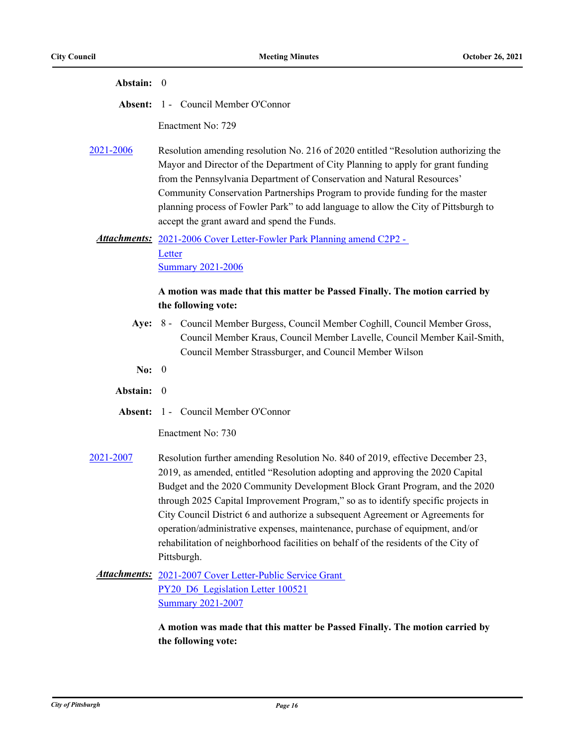| Abstain: 0       |                                                                                                                                                                                                                                                                                                                                                                                                                                                                                                                                                                                                               |
|------------------|---------------------------------------------------------------------------------------------------------------------------------------------------------------------------------------------------------------------------------------------------------------------------------------------------------------------------------------------------------------------------------------------------------------------------------------------------------------------------------------------------------------------------------------------------------------------------------------------------------------|
|                  | <b>Absent: 1 - Council Member O'Connor</b>                                                                                                                                                                                                                                                                                                                                                                                                                                                                                                                                                                    |
|                  | Enactment No: 729                                                                                                                                                                                                                                                                                                                                                                                                                                                                                                                                                                                             |
| <u>2021-2006</u> | Resolution amending resolution No. 216 of 2020 entitled "Resolution authorizing the<br>Mayor and Director of the Department of City Planning to apply for grant funding<br>from the Pennsylvania Department of Conservation and Natural Resources'<br>Community Conservation Partnerships Program to provide funding for the master<br>planning process of Fowler Park" to add language to allow the City of Pittsburgh to<br>accept the grant award and spend the Funds.                                                                                                                                     |
|                  | Attachments: 2021-2006 Cover Letter-Fowler Park Planning amend C2P2 -                                                                                                                                                                                                                                                                                                                                                                                                                                                                                                                                         |
|                  | Letter<br><b>Summary 2021-2006</b>                                                                                                                                                                                                                                                                                                                                                                                                                                                                                                                                                                            |
|                  | A motion was made that this matter be Passed Finally. The motion carried by                                                                                                                                                                                                                                                                                                                                                                                                                                                                                                                                   |
|                  | the following vote:                                                                                                                                                                                                                                                                                                                                                                                                                                                                                                                                                                                           |
|                  | Aye: 8 - Council Member Burgess, Council Member Coghill, Council Member Gross,<br>Council Member Kraus, Council Member Lavelle, Council Member Kail-Smith,<br>Council Member Strassburger, and Council Member Wilson                                                                                                                                                                                                                                                                                                                                                                                          |
| No: $0$          |                                                                                                                                                                                                                                                                                                                                                                                                                                                                                                                                                                                                               |
| Abstain:         | $\overline{0}$                                                                                                                                                                                                                                                                                                                                                                                                                                                                                                                                                                                                |
|                  | Absent: 1 - Council Member O'Connor                                                                                                                                                                                                                                                                                                                                                                                                                                                                                                                                                                           |
|                  | Enactment No: 730                                                                                                                                                                                                                                                                                                                                                                                                                                                                                                                                                                                             |
| 2021-2007        | Resolution further amending Resolution No. 840 of 2019, effective December 23,<br>2019, as amended, entitled "Resolution adopting and approving the 2020 Capital<br>Budget and the 2020 Community Development Block Grant Program, and the 2020<br>through 2025 Capital Improvement Program," so as to identify specific projects in<br>City Council District 6 and authorize a subsequent Agreement or Agreements for<br>operation/administrative expenses, maintenance, purchase of equipment, and/or<br>rehabilitation of neighborhood facilities on behalf of the residents of the City of<br>Pittsburgh. |
|                  | Attachments: 2021-2007 Cover Letter-Public Service Grant<br>PY20 D6 Legislation Letter 100521<br><b>Summary 2021-2007</b>                                                                                                                                                                                                                                                                                                                                                                                                                                                                                     |
|                  | A motion was made that this matter be Passed Finally. The motion carried by                                                                                                                                                                                                                                                                                                                                                                                                                                                                                                                                   |

**the following vote:**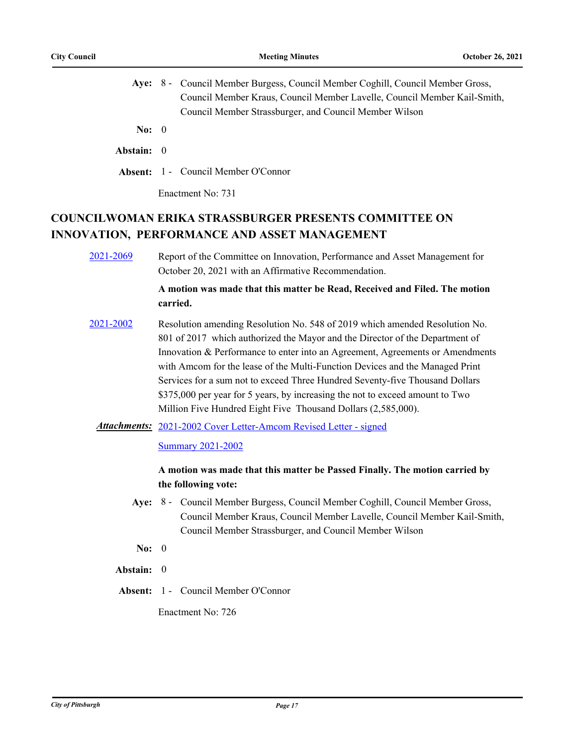|  | Aye: 8 - Council Member Burgess, Council Member Coghill, Council Member Gross, |
|--|--------------------------------------------------------------------------------|
|  | Council Member Kraus, Council Member Lavelle, Council Member Kail-Smith,       |
|  | Council Member Strassburger, and Council Member Wilson                         |

**No:** 0

### **Abstain:** 0

**Absent:** 1 - Council Member O'Connor

Enactment No: 731

# **COUNCILWOMAN ERIKA STRASSBURGER PRESENTS COMMITTEE ON INNOVATION, PERFORMANCE AND ASSET MANAGEMENT**

[2021-2069](http://pittsburgh.legistar.com/gateway.aspx?m=l&id=/matter.aspx?key=26947) Report of the Committee on Innovation, Performance and Asset Management for October 20, 2021 with an Affirmative Recommendation.

## **A motion was made that this matter be Read, Received and Filed. The motion carried.**

[2021-2002](http://pittsburgh.legistar.com/gateway.aspx?m=l&id=/matter.aspx?key=26878) Resolution amending Resolution No. 548 of 2019 which amended Resolution No. 801 of 2017 which authorized the Mayor and the Director of the Department of Innovation & Performance to enter into an Agreement, Agreements or Amendments with Amcom for the lease of the Multi-Function Devices and the Managed Print Services for a sum not to exceed Three Hundred Seventy-five Thousand Dollars \$375,000 per year for 5 years, by increasing the not to exceed amount to Two Million Five Hundred Eight Five Thousand Dollars (2,585,000).

### Attachments: [2021-2002 Cover Letter-Amcom Revised Letter - signed](http://pittsburgh.legistar.com/gateway.aspx?M=F&ID=bc263bf1-3bf2-439d-87ed-f0fea0336789.pdf)

#### **[Summary 2021-2002](http://pittsburgh.legistar.com/gateway.aspx?M=F&ID=0def7614-2c9e-4823-90f0-1b445c579a07.docx)**

## **A motion was made that this matter be Passed Finally. The motion carried by the following vote:**

- Aye: 8 Council Member Burgess, Council Member Coghill, Council Member Gross, Council Member Kraus, Council Member Lavelle, Council Member Kail-Smith, Council Member Strassburger, and Council Member Wilson
- **No:** 0

#### **Abstain:** 0

**Absent:** 1 - Council Member O'Connor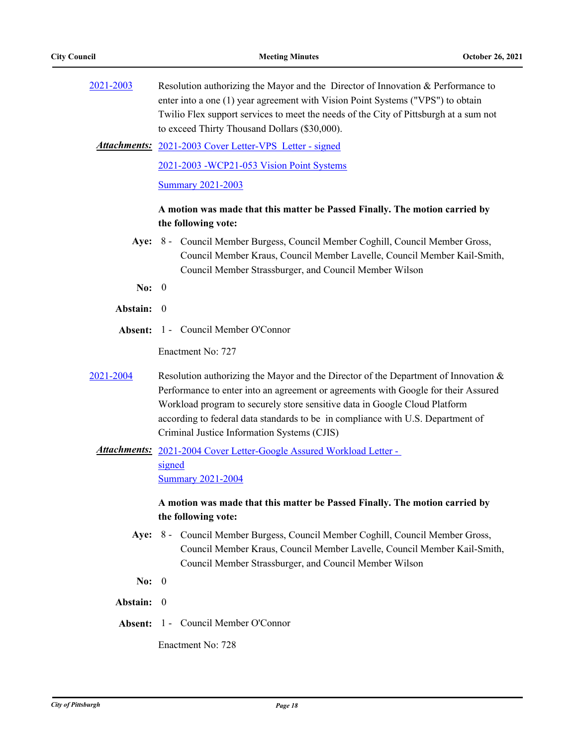| 2021-2003 | Resolution authorizing the Mayor and the Director of Innovation & Performance to<br>enter into a one (1) year agreement with Vision Point Systems ("VPS") to obtain<br>Twilio Flex support services to meet the needs of the City of Pittsburgh at a sum not<br>to exceed Thirty Thousand Dollars (\$30,000).                                                                                |
|-----------|----------------------------------------------------------------------------------------------------------------------------------------------------------------------------------------------------------------------------------------------------------------------------------------------------------------------------------------------------------------------------------------------|
|           | <b>Attachments:</b> 2021-2003 Cover Letter-VPS Letter - signed                                                                                                                                                                                                                                                                                                                               |
|           | 2021-2003 - WCP21-053 Vision Point Systems                                                                                                                                                                                                                                                                                                                                                   |
|           | <b>Summary 2021-2003</b>                                                                                                                                                                                                                                                                                                                                                                     |
|           | A motion was made that this matter be Passed Finally. The motion carried by<br>the following vote:                                                                                                                                                                                                                                                                                           |
|           | Aye: 8 - Council Member Burgess, Council Member Coghill, Council Member Gross,<br>Council Member Kraus, Council Member Lavelle, Council Member Kail-Smith,<br>Council Member Strassburger, and Council Member Wilson                                                                                                                                                                         |
| No: $0$   |                                                                                                                                                                                                                                                                                                                                                                                              |
| Abstain:  | $\theta$                                                                                                                                                                                                                                                                                                                                                                                     |
| Absent:   | 1 - Council Member O'Connor                                                                                                                                                                                                                                                                                                                                                                  |
|           | Enactment No: 727                                                                                                                                                                                                                                                                                                                                                                            |
| 2021-2004 | Resolution authorizing the Mayor and the Director of the Department of Innovation $\&$<br>Performance to enter into an agreement or agreements with Google for their Assured<br>Workload program to securely store sensitive data in Google Cloud Platform<br>according to federal data standards to be in compliance with U.S. Department of<br>Criminal Justice Information Systems (CJIS) |
|           | Attachments: 2021-2004 Cover Letter-Google Assured Workload Letter -<br>signed                                                                                                                                                                                                                                                                                                               |
|           | <b>Summary 2021-2004</b>                                                                                                                                                                                                                                                                                                                                                                     |
|           | A motion was made that this matter be Passed Finally. The motion carried by<br>the following vote:                                                                                                                                                                                                                                                                                           |
|           | Aye: 8 - Council Member Burgess, Council Member Coghill, Council Member Gross,<br>Council Member Kraus, Council Member Lavelle, Council Member Kail-Smith,<br>Council Member Strassburger, and Council Member Wilson                                                                                                                                                                         |
| No: $0$   |                                                                                                                                                                                                                                                                                                                                                                                              |
| Abstain:  | $\theta$                                                                                                                                                                                                                                                                                                                                                                                     |
| Absent:   | 1 - Council Member O'Connor                                                                                                                                                                                                                                                                                                                                                                  |
|           | Enactment No: 728                                                                                                                                                                                                                                                                                                                                                                            |
|           |                                                                                                                                                                                                                                                                                                                                                                                              |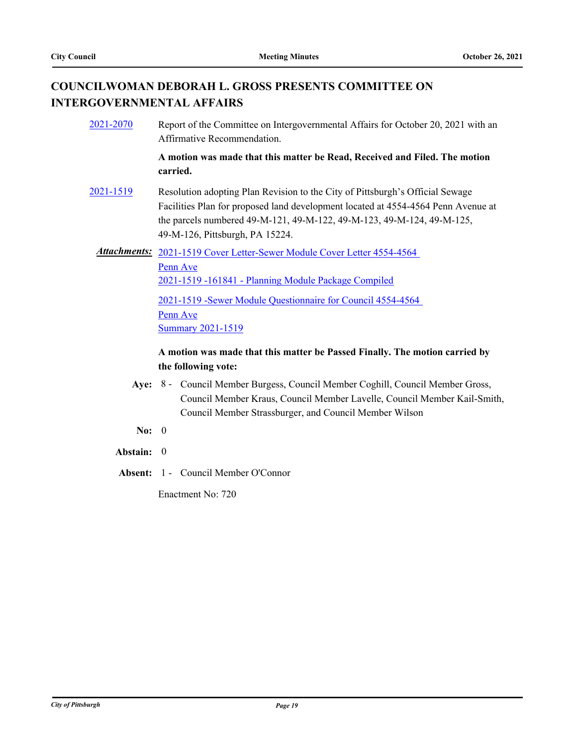# **COUNCILWOMAN DEBORAH L. GROSS PRESENTS COMMITTEE ON INTERGOVERNMENTAL AFFAIRS**

| 2021-2070 | Report of the Committee on Intergovernmental Affairs for October 20, 2021 with an<br>Affirmative Recommendation.                                                                                                                                                                |
|-----------|---------------------------------------------------------------------------------------------------------------------------------------------------------------------------------------------------------------------------------------------------------------------------------|
|           | A motion was made that this matter be Read, Received and Filed. The motion<br>carried.                                                                                                                                                                                          |
| 2021-1519 | Resolution adopting Plan Revision to the City of Pittsburgh's Official Sewage<br>Facilities Plan for proposed land development located at 4554-4564 Penn Avenue at<br>the parcels numbered 49-M-121, 49-M-122, 49-M-123, 49-M-124, 49-M-125,<br>49-M-126, Pittsburgh, PA 15224. |
|           | Attachments: 2021-1519 Cover Letter-Sewer Module Cover Letter 4554-4564<br>Penn Ave<br>2021-1519 -161841 - Planning Module Package Compiled<br>2021-1519 - Sewer Module Questionnaire for Council 4554-4564<br><u>Penn Ave</u><br><b>Summary 2021-1519</b>                      |

# **A motion was made that this matter be Passed Finally. The motion carried by the following vote:**

- Aye: 8 Council Member Burgess, Council Member Coghill, Council Member Gross, Council Member Kraus, Council Member Lavelle, Council Member Kail-Smith, Council Member Strassburger, and Council Member Wilson
- **No:** 0
- **Abstain:** 0
- **Absent:** 1 Council Member O'Connor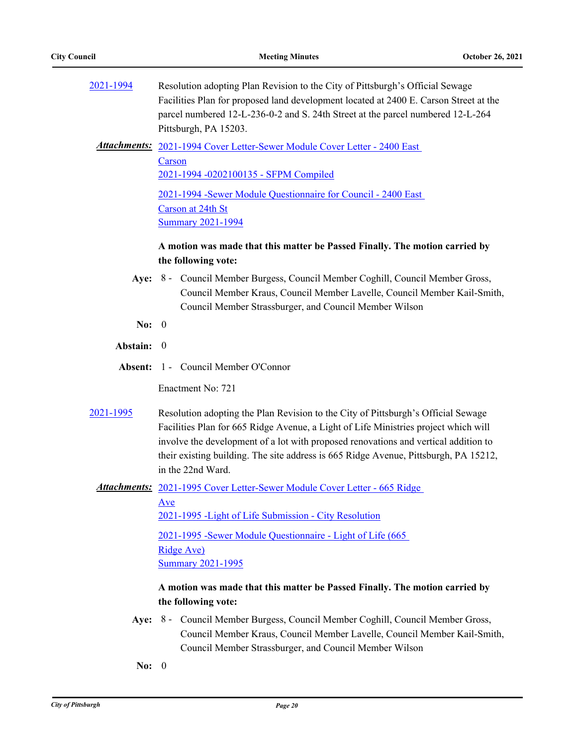| 2021-1994  | Resolution adopting Plan Revision to the City of Pittsburgh's Official Sewage<br>Facilities Plan for proposed land development located at 2400 E. Carson Street at the<br>parcel numbered 12-L-236-0-2 and S. 24th Street at the parcel numbered 12-L-264<br>Pittsburgh, PA 15203.                                                                                           |
|------------|------------------------------------------------------------------------------------------------------------------------------------------------------------------------------------------------------------------------------------------------------------------------------------------------------------------------------------------------------------------------------|
|            | Attachments: 2021-1994 Cover Letter-Sewer Module Cover Letter - 2400 East                                                                                                                                                                                                                                                                                                    |
|            | Carson<br>2021-1994 -0202100135 - SFPM Compiled                                                                                                                                                                                                                                                                                                                              |
|            | 2021-1994 - Sewer Module Questionnaire for Council - 2400 East                                                                                                                                                                                                                                                                                                               |
|            | Carson at 24th St                                                                                                                                                                                                                                                                                                                                                            |
|            | <b>Summary 2021-1994</b>                                                                                                                                                                                                                                                                                                                                                     |
|            | A motion was made that this matter be Passed Finally. The motion carried by<br>the following vote:                                                                                                                                                                                                                                                                           |
|            | Aye: 8 - Council Member Burgess, Council Member Coghill, Council Member Gross,<br>Council Member Kraus, Council Member Lavelle, Council Member Kail-Smith,<br>Council Member Strassburger, and Council Member Wilson                                                                                                                                                         |
| No: $0$    |                                                                                                                                                                                                                                                                                                                                                                              |
| Abstain: 0 |                                                                                                                                                                                                                                                                                                                                                                              |
| Absent:    | 1 - Council Member O'Connor                                                                                                                                                                                                                                                                                                                                                  |
|            | Enactment No: 721                                                                                                                                                                                                                                                                                                                                                            |
| 2021-1995  | Resolution adopting the Plan Revision to the City of Pittsburgh's Official Sewage<br>Facilities Plan for 665 Ridge Avenue, a Light of Life Ministries project which will<br>involve the development of a lot with proposed renovations and vertical addition to<br>their existing building. The site address is 665 Ridge Avenue, Pittsburgh, PA 15212,<br>in the 22nd Ward. |
|            | Attachments: 2021-1995 Cover Letter-Sewer Module Cover Letter - 665 Ridge                                                                                                                                                                                                                                                                                                    |
|            | $\mathbf{A}$ ve                                                                                                                                                                                                                                                                                                                                                              |
|            | 2021-1995 - Light of Life Submission - City Resolution                                                                                                                                                                                                                                                                                                                       |
|            | 2021-1995 - Sewer Module Questionnaire - Light of Life (665)                                                                                                                                                                                                                                                                                                                 |
|            | <b>Ridge Ave)</b>                                                                                                                                                                                                                                                                                                                                                            |
|            | <b>Summary 2021-1995</b>                                                                                                                                                                                                                                                                                                                                                     |
|            | A motion was made that this matter be Passed Finally. The motion carried by<br>the following vote:                                                                                                                                                                                                                                                                           |
| Aye:       | 8 - Council Member Burgess, Council Member Coghill, Council Member Gross,<br>Council Member Kraus, Council Member Lavelle, Council Member Kail-Smith,<br>Council Member Strassburger, and Council Member Wilson                                                                                                                                                              |
| No: 0      |                                                                                                                                                                                                                                                                                                                                                                              |